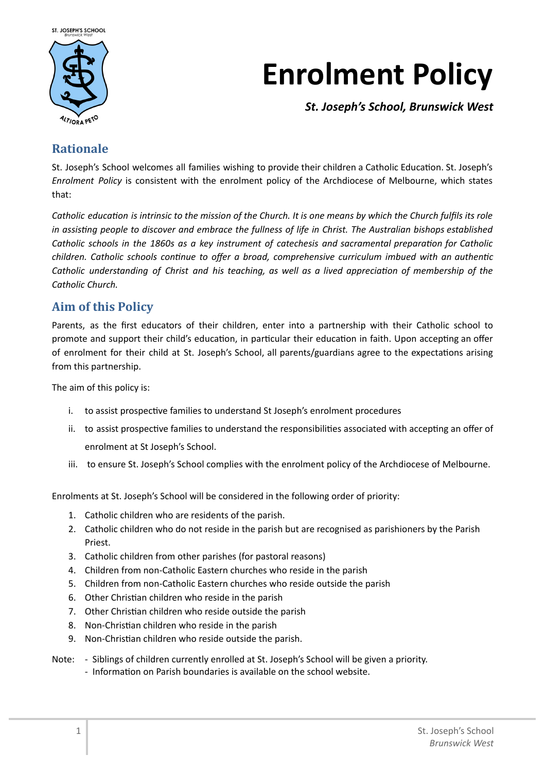

# **Enrolment Policy**

*St. Joseph's School, Brunswick West*

# **Rationale**

St. Joseph's School welcomes all families wishing to provide their children a Catholic Education. St. Joseph's *Enrolment Policy* is consistent with the enrolment policy of the Archdiocese of Melbourne, which states that:

Catholic education is intrinsic to the mission of the Church. It is one means by which the Church fulfils its role in assisting people to discover and embrace the fullness of life in Christ. The Australian bishops established Catholic schools in the 1860s as a key instrument of catechesis and sacramental preparation for Catholic children. Catholic schools continue to offer a broad, comprehensive curriculum imbued with an authentic Catholic understanding of Christ and his teaching, as well as a lived appreciation of membership of the *Catholic Church.*

# **Aim of this Policy**

Parents, as the first educators of their children, enter into a partnership with their Catholic school to promote and support their child's education, in particular their education in faith. Upon accepting an offer of enrolment for their child at St. Joseph's School, all parents/guardians agree to the expectations arising from this partnership.

The aim of this policy is:

- i. to assist prospective families to understand St Joseph's enrolment procedures
- ii. to assist prospective families to understand the responsibilities associated with accepting an offer of enrolment at St Joseph's School.
- iii. to ensure St. Joseph's School complies with the enrolment policy of the Archdiocese of Melbourne.

Enrolments at St. Joseph's School will be considered in the following order of priority:

- 1. Catholic children who are residents of the parish.
- 2. Catholic children who do not reside in the parish but are recognised as parishioners by the Parish Priest.
- 3. Catholic children from other parishes (for pastoral reasons)
- 4. Children from non-Catholic Eastern churches who reside in the parish
- 5. Children from non‐Catholic Eastern churches who reside outside the parish
- 6. Other Christian children who reside in the parish
- 7. Other Christian children who reside outside the parish
- 8. Non-Christian children who reside in the parish
- 9. Non-Christian children who reside outside the parish.
- Note: ‐ Siblings of children currently enrolled at St. Joseph's School will be given a priority. ‐ InformaƟon on Parish boundaries is available on the school website.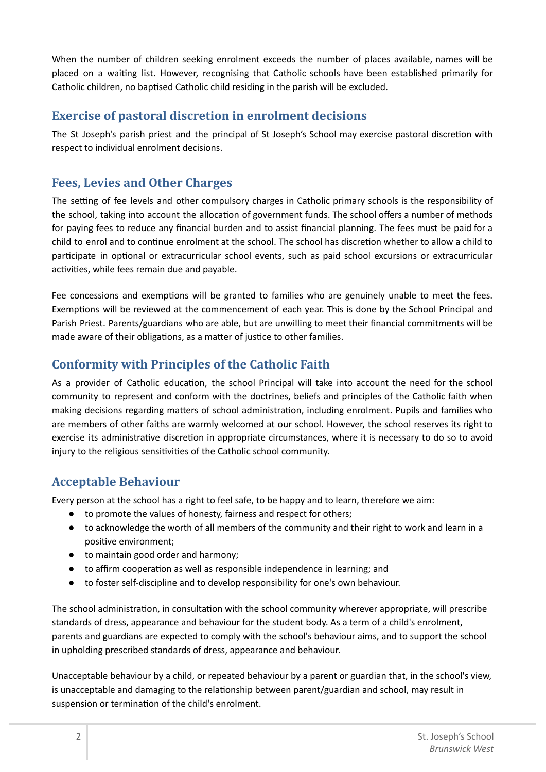When the number of children seeking enrolment exceeds the number of places available, names will be placed on a waiting list. However, recognising that Catholic schools have been established primarily for Catholic children, no baptised Catholic child residing in the parish will be excluded.

### **Exercise of pastoral discretion in enrolment decisions**

The St Joseph's parish priest and the principal of St Joseph's School may exercise pastoral discretion with respect to individual enrolment decisions.

## **Fees, Levies and Other Charges**

The setting of fee levels and other compulsory charges in Catholic primary schools is the responsibility of the school, taking into account the allocation of government funds. The school offers a number of methods for paying fees to reduce any financial burden and to assist financial planning. The fees must be paid for a child to enrol and to continue enrolment at the school. The school has discretion whether to allow a child to participate in optional or extracurricular school events, such as paid school excursions or extracurricular activities, while fees remain due and payable.

Fee concessions and exemptions will be granted to families who are genuinely unable to meet the fees. Exemptions will be reviewed at the commencement of each year. This is done by the School Principal and Parish Priest. Parents/guardians who are able, but are unwilling to meet their financial commitments will be made aware of their obligations, as a matter of justice to other families.

# **Conformity with Principles of the Catholic Faith**

As a provider of Catholic education, the school Principal will take into account the need for the school community to represent and conform with the doctrines, beliefs and principles of the Catholic faith when making decisions regarding matters of school administration, including enrolment. Pupils and families who are members of other faiths are warmly welcomed at our school. However, the school reserves its right to exercise its administrative discretion in appropriate circumstances, where it is necessary to do so to avoid injury to the religious sensitivities of the Catholic school community.

# **Acceptable Behaviour**

Every person at the school has a right to feel safe, to be happy and to learn, therefore we aim:

- to promote the values of honesty, fairness and respect for others;
- to acknowledge the worth of all members of the community and their right to work and learn in a positive environment:
- to maintain good order and harmony;
- $\bullet$  to affirm cooperation as well as responsible independence in learning; and
- to foster self-discipline and to develop responsibility for one's own behaviour.

The school administration, in consultation with the school community wherever appropriate, will prescribe standards of dress, appearance and behaviour for the student body. As a term of a child's enrolment, parents and guardians are expected to comply with the school's behaviour aims, and to support the school in upholding prescribed standards of dress, appearance and behaviour.

Unacceptable behaviour by a child, or repeated behaviour by a parent or guardian that, in the school's view, is unacceptable and damaging to the relationship between parent/guardian and school, may result in suspension or termination of the child's enrolment.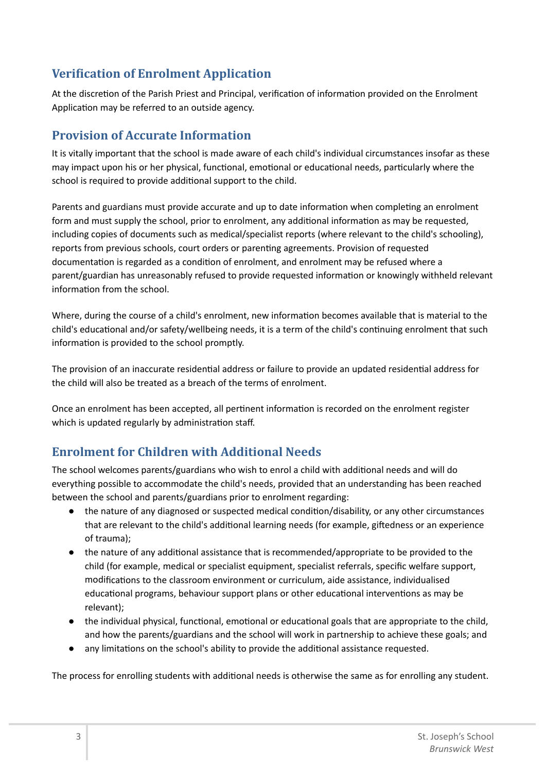# **Verification of Enrolment Application**

At the discretion of the Parish Priest and Principal, verification of information provided on the Enrolment Application may be referred to an outside agency.

# **Provision of Accurate Information**

It is vitally important that the school is made aware of each child's individual circumstances insofar as these may impact upon his or her physical, functional, emotional or educational needs, particularly where the school is required to provide additional support to the child.

Parents and guardians must provide accurate and up to date information when completing an enrolment form and must supply the school, prior to enrolment, any additional information as may be requested, including copies of documents such as medical/specialist reports (where relevant to the child's schooling), reports from previous schools, court orders or parenting agreements. Provision of requested documentation is regarded as a condition of enrolment, and enrolment may be refused where a parent/guardian has unreasonably refused to provide requested information or knowingly withheld relevant information from the school.

Where, during the course of a child's enrolment, new information becomes available that is material to the child's educational and/or safety/wellbeing needs, it is a term of the child's continuing enrolment that such information is provided to the school promptly.

The provision of an inaccurate residential address or failure to provide an updated residential address for the child will also be treated as a breach of the terms of enrolment.

Once an enrolment has been accepted, all pertinent information is recorded on the enrolment register which is updated regularly by administration staff.

# **Enrolment for Children with Additional Needs**

The school welcomes parents/guardians who wish to enrol a child with additional needs and will do everything possible to accommodate the child's needs, provided that an understanding has been reached between the school and parents/guardians prior to enrolment regarding:

- the nature of any diagnosed or suspected medical condition/disability, or any other circumstances that are relevant to the child's additional learning needs (for example, giftedness or an experience of trauma);
- the nature of any additional assistance that is recommended/appropriate to be provided to the child (for example, medical or specialist equipment, specialist referrals, specific welfare support, modifications to the classroom environment or curriculum, aide assistance, individualised educational programs, behaviour support plans or other educational interventions as may be relevant);
- the individual physical, functional, emotional or educational goals that are appropriate to the child, and how the parents/guardians and the school will work in partnership to achieve these goals; and
- any limitations on the school's ability to provide the additional assistance requested.

The process for enrolling students with additional needs is otherwise the same as for enrolling any student.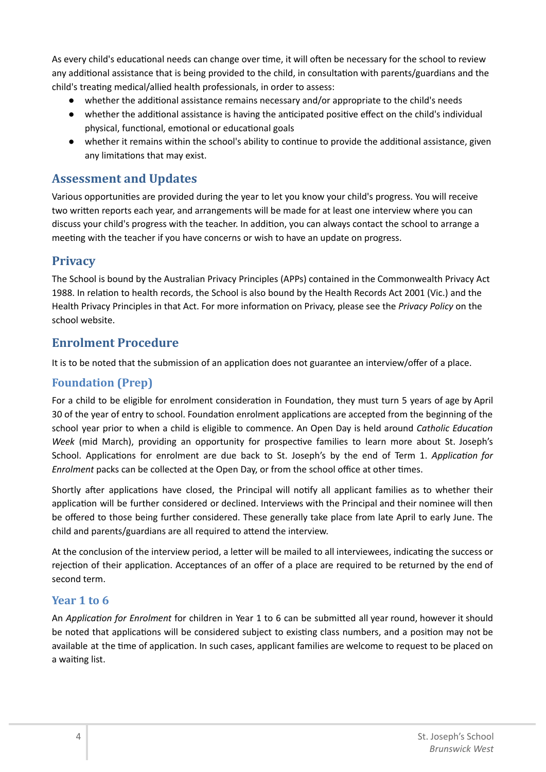As every child's educational needs can change over time, it will often be necessary for the school to review any additional assistance that is being provided to the child, in consultation with parents/guardians and the child's treating medical/allied health professionals, in order to assess:

- whether the additional assistance remains necessary and/or appropriate to the child's needs
- whether the additional assistance is having the anticipated positive effect on the child's individual physical, functional, emotional or educational goals
- whether it remains within the school's ability to continue to provide the additional assistance, given any limitations that may exist.

#### **Assessment and Updates**

Various opportunities are provided during the year to let you know your child's progress. You will receive two written reports each year, and arrangements will be made for at least one interview where you can discuss your child's progress with the teacher. In addition, you can always contact the school to arrange a meeting with the teacher if you have concerns or wish to have an update on progress.

## **Privacy**

The School is bound by the Australian Privacy Principles (APPs) contained in the Commonwealth Privacy Act 1988. In relation to health records, the School is also bound by the Health Records Act 2001 (Vic.) and the Health Privacy Principles in that Act. For more information on Privacy, please see the *Privacy Policy* on the school website.

## **Enrolment Procedure**

It is to be noted that the submission of an application does not guarantee an interview/offer of a place.

#### **Foundation (Prep)**

For a child to be eligible for enrolment consideration in Foundation, they must turn 5 years of age by April 30 of the year of entry to school. Foundation enrolment applications are accepted from the beginning of the school year prior to when a child is eligible to commence. An Open Day is held around *Catholic EducaƟon Week* (mid March), providing an opportunity for prospective families to learn more about St. Joseph's School. Applications for enrolment are due back to St. Joseph's by the end of Term 1. *Application for Enrolment* packs can be collected at the Open Day, or from the school office at other times.

Shortly after applications have closed, the Principal will notify all applicant families as to whether their application will be further considered or declined. Interviews with the Principal and their nominee will then be offered to those being further considered. These generally take place from late April to early June. The child and parents/guardians are all required to attend the interview.

At the conclusion of the interview period, a letter will be mailed to all interviewees, indicating the success or rejection of their application. Acceptances of an offer of a place are required to be returned by the end of second term.

#### **Year 1 to 6**

An *ApplicaƟon for Enrolment* for children in Year 1 to 6 can be submiƩed all year round, however it should be noted that applications will be considered subject to existing class numbers, and a position may not be available at the time of application. In such cases, applicant families are welcome to request to be placed on a waiting list.